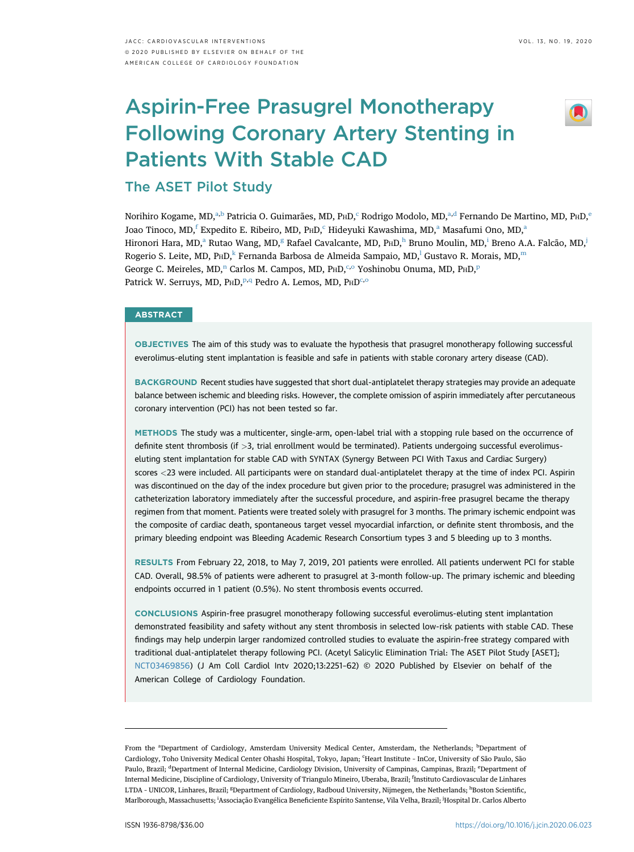# Aspirin-Free Prasugrel Monotherapy Following Coronary Artery Stenting in Patients With Stable CAD



The ASET Pilot Study

Norihiro Kogame, MD,<sup>a,b</sup> Patricia O. Guimarães, MD, PHD,<sup>c</sup> Rodrigo Modolo, MD,<sup>a,d</sup> Fernando De Martino, MD, PHD,<sup>e</sup> Joao Tinoco, MD,<sup>f</sup> Expedito E. Ribeiro, MD, P<sub>HD</sub>,<sup>c</sup> Hideyuki Kawashima, MD,<sup>a</sup> Masafumi Ono, MD,<sup>a</sup> Hironori Hara, MD,<sup>a</sup> Rutao Wang, MD,<sup>g</sup> Rafael Cavalcante, MD, PHD,<sup>h</sup> Bruno Moulin, MD,<sup>i</sup> Breno A.A. Falcão, MD,<sup>j</sup> Rogerio S. Leite, MD, P $HD<sup>k</sup>$  Fernanda Barbosa de Almeida Sampaio, MD,<sup>1</sup> Gustavo R. Morais, MD,<sup>m</sup> George C. Meireles,  $MD$ ,<sup>n</sup> Carlos M. Campos, MD, P<sub>HD</sub>,<sup>c,o</sup> Yoshinobu Onuma, MD, P<sub>HD</sub>,<sup>p</sup> Patrick W. Serruys, MD, PHD,<sup>p,q</sup> Pedro A. Lemos, MD, PHD<sup>c,o</sup>

## **ABSTRACT**

OBJECTIVES The aim of this study was to evaluate the hypothesis that prasugrel monotherapy following successful everolimus-eluting stent implantation is feasible and safe in patients with stable coronary artery disease (CAD).

BACKGROUND Recent studies have suggested that short dual-antiplatelet therapy strategies may provide an adequate balance between ischemic and bleeding risks. However, the complete omission of aspirin immediately after percutaneous coronary intervention (PCI) has not been tested so far.

METHODS The study was a multicenter, single-arm, open-label trial with a stopping rule based on the occurrence of definite stent thrombosis (if >3, trial enrollment would be terminated). Patients undergoing successful everolimuseluting stent implantation for stable CAD with SYNTAX (Synergy Between PCI With Taxus and Cardiac Surgery) scores <23 were included. All participants were on standard dual-antiplatelet therapy at the time of index PCI. Aspirin was discontinued on the day of the index procedure but given prior to the procedure; prasugrel was administered in the catheterization laboratory immediately after the successful procedure, and aspirin-free prasugrel became the therapy regimen from that moment. Patients were treated solely with prasugrel for 3 months. The primary ischemic endpoint was the composite of cardiac death, spontaneous target vessel myocardial infarction, or definite stent thrombosis, and the primary bleeding endpoint was Bleeding Academic Research Consortium types 3 and 5 bleeding up to 3 months.

RESULTS From February 22, 2018, to May 7, 2019, 201 patients were enrolled. All patients underwent PCI for stable CAD. Overall, 98.5% of patients were adherent to prasugrel at 3-month follow-up. The primary ischemic and bleeding endpoints occurred in 1 patient (0.5%). No stent thrombosis events occurred.

CONCLUSIONS Aspirin-free prasugrel monotherapy following successful everolimus-eluting stent implantation demonstrated feasibility and safety without any stent thrombosis in selected low-risk patients with stable CAD. These findings may help underpin larger randomized controlled studies to evaluate the aspirin-free strategy compared with traditional dual-antiplatelet therapy following PCI. (Acetyl Salicylic Elimination Trial: The ASET Pilot Study [ASET]; [NCT03469856\)](https://clinicaltrials.gov/ct2/show/NCT03469856) (J Am Coll Cardiol Intv 2020;13:2251–62) © 2020 Published by Elsevier on behalf of the American College of Cardiology Foundation.

From the <sup>a</sup>Department of Cardiology, Amsterdam University Medical Center, Amsterdam, the Netherlands; <sup>b</sup>Department of Cardiology, Toho University Medical Center Ohashi Hospital, Tokyo, Japan; 'Heart Institute - InCor, University of São Paulo, São Paulo, Brazil; <sup>d</sup>Department of Internal Medicine, Cardiology Division, University of Campinas, Campinas, Brazil; <sup>e</sup>Department of Internal Medicine, Discipline of Cardiology, University of Triangulo Mineiro, Uberaba, Brazil; <sup>f</sup>Instituto Cardiovascular de Linhares LTDA - UNICOR, Linhares, Brazil; <sup>g</sup>Department of Cardiology, Radboud University, Nijmegen, the Netherlands; <sup>h</sup>Boston Scientific, Marlborough, Massachusetts; <sup>i</sup>Associação Evangélica Beneficiente Espírito Santense, Vila Velha, Brazil; <sup>i</sup>Hospital Dr. Carlos Alberto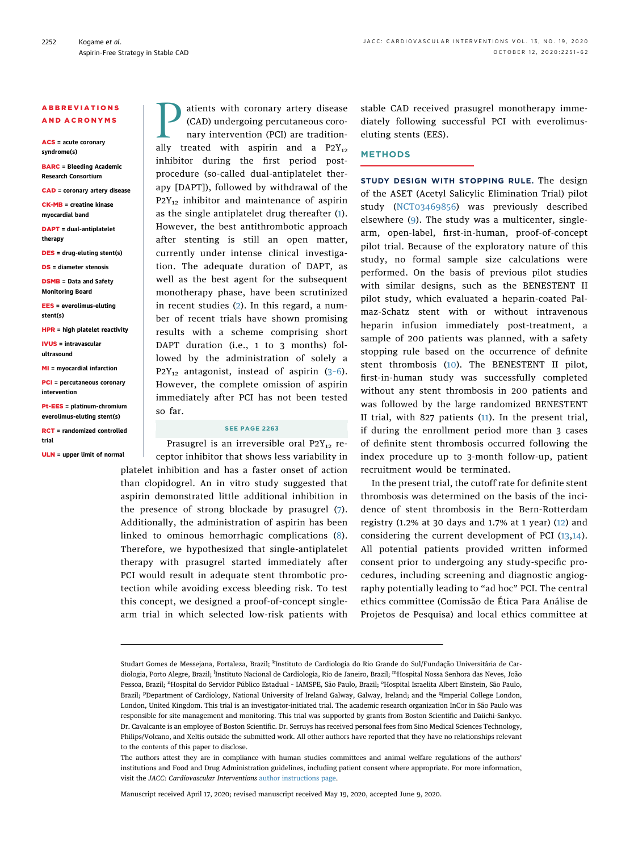## ABBREVIATIONS AND ACRONYMS

ACS = acute coronary syndrome(s)

BARC = Bleeding Academic Research Consortium

CAD = coronary artery disease

CK-MB = creatine kinase myocardial band

DAPT = dual-antiplatelet therapy

DES = drug-eluting stent(s)

DS = diameter stenosis

DSMB = Data and Safety Monitoring Board

EES = everolimus-eluting stent(s)

HPR = high platelet reactivity

IVUS = intravascular ultrasound

MI = myocardial infarction

PCI = percutaneous coronary intervention

Pt-EES = platinum-chromium everolimus-eluting stent(s)

RCT = randomized controlled trial

ULN = upper limit of normal

**Patients with coronary artery disease**<br>(CAD) undergoing percutaneous coronary intervention (PCI) are traditionally treated with aspiring and a P2Y<sub>12</sub> (CAD) undergoing percutaneous coronary intervention (PCI) are traditionally treated with aspirin and a  $P2Y_{12}$ inhibitor during the first period postprocedure (so-called dual-antiplatelet therapy [DAPT]), followed by withdrawal of the  $P2Y_{12}$  inhibitor and maintenance of aspirin as the single antiplatelet drug thereafter ([1\)](#page-10-0). However, the best antithrombotic approach after stenting is still an open matter, currently under intense clinical investigation. The adequate duration of DAPT, as well as the best agent for the subsequent monotherapy phase, have been scrutinized in recent studies ([2\)](#page-10-1). In this regard, a number of recent trials have shown promising results with a scheme comprising short DAPT duration (i.e., 1 to 3 months) followed by the administration of solely a  $P2Y_{12}$  antagonist, instead of aspirin (3-[6\)](#page-10-2). However, the complete omission of aspirin immediately after PCI has not been tested so far.

### SEE PAGE 2263

Prasugrel is an irreversible oral  $P2Y_{12}$  receptor inhibitor that shows less variability in platelet inhibition and has a faster onset of action than clopidogrel. An in vitro study suggested that aspirin demonstrated little additional inhibition in the presence of strong blockade by prasugrel ([7\)](#page-10-3). Additionally, the administration of aspirin has been linked to ominous hemorrhagic complications ([8\)](#page-11-0). Therefore, we hypothesized that single-antiplatelet therapy with prasugrel started immediately after PCI would result in adequate stent thrombotic protection while avoiding excess bleeding risk. To test this concept, we designed a proof-of-concept singlearm trial in which selected low-risk patients with stable CAD received prasugrel monotherapy immediately following successful PCI with everolimuseluting stents (EES).

## **METHODS**

STUDY DESIGN WITH STOPPING RULE. The design of the ASET (Acetyl Salicylic Elimination Trial) pilot study ([NCT03469856\)](https://clinicaltrials.gov/ct2/show/NCT03469856) was previously described elsewhere [\(9](#page-11-1)). The study was a multicenter, singlearm, open-label, first-in-human, proof-of-concept pilot trial. Because of the exploratory nature of this study, no formal sample size calculations were performed. On the basis of previous pilot studies with similar designs, such as the BENESTENT II pilot study, which evaluated a heparin-coated Palmaz-Schatz stent with or without intravenous heparin infusion immediately post-treatment, a sample of 200 patients was planned, with a safety stopping rule based on the occurrence of definite stent thrombosis [\(10\)](#page-11-2). The BENESTENT II pilot, first-in-human study was successfully completed without any stent thrombosis in 200 patients and was followed by the large randomized BENESTENT II trial, with 827 patients [\(11\)](#page-11-3). In the present trial, if during the enrollment period more than 3 cases of definite stent thrombosis occurred following the index procedure up to 3-month follow-up, patient recruitment would be terminated.

In the present trial, the cutoff rate for definite stent thrombosis was determined on the basis of the incidence of stent thrombosis in the Bern-Rotterdam registry (1.2% at 30 days and 1.7% at 1 year) [\(12](#page-11-4)) and considering the current development of PCI ([13,](#page-11-5)[14\)](#page-11-6). All potential patients provided written informed consent prior to undergoing any study-specific procedures, including screening and diagnostic angiography potentially leading to "ad hoc" PCI. The central ethics committee (Comissão de Ética Para Análise de Projetos de Pesquisa) and local ethics committee at

Manuscript received April 17, 2020; revised manuscript received May 19, 2020, accepted June 9, 2020.

Studart Gomes de Messejana, Fortaleza, Brazil; <sup>k</sup>Instituto de Cardiologia do Rio Grande do Sul/Fundação Universitária de Cardiologia, Porto Alegre, Brazil; <sup>l</sup>Instituto Nacional de Cardiologia, Rio de Janeiro, Brazil; <sup>m</sup>Hospital Nossa Senhora das Neves, João Pessoa, Brazil; "Hospital do Servidor Público Estadual - IAMSPE, São Paulo, Brazil; <sup>o</sup>Hospital Israelita Albert Einstein, São Paulo, Brazil; <sup>p</sup>Department of Cardiology, National University of Ireland Galway, Galway, Ireland; and the <sup>q</sup>Imperial College London, London, United Kingdom. This trial is an investigator-initiated trial. The academic research organization InCor in São Paulo was responsible for site management and monitoring. This trial was supported by grants from Boston Scientific and Daiichi-Sankyo. Dr. Cavalcante is an employee of Boston Scientific. Dr. Serruys has received personal fees from Sino Medical Sciences Technology, Philips/Volcano, and Xeltis outside the submitted work. All other authors have reported that they have no relationships relevant to the contents of this paper to disclose.

The authors attest they are in compliance with human studies committees and animal welfare regulations of the authors' institutions and Food and Drug Administration guidelines, including patient consent where appropriate. For more information, visit the JACC: Cardiovascular Interventions [author instructions page](http://interventions.onlinejacc.org/content/instructions-authors).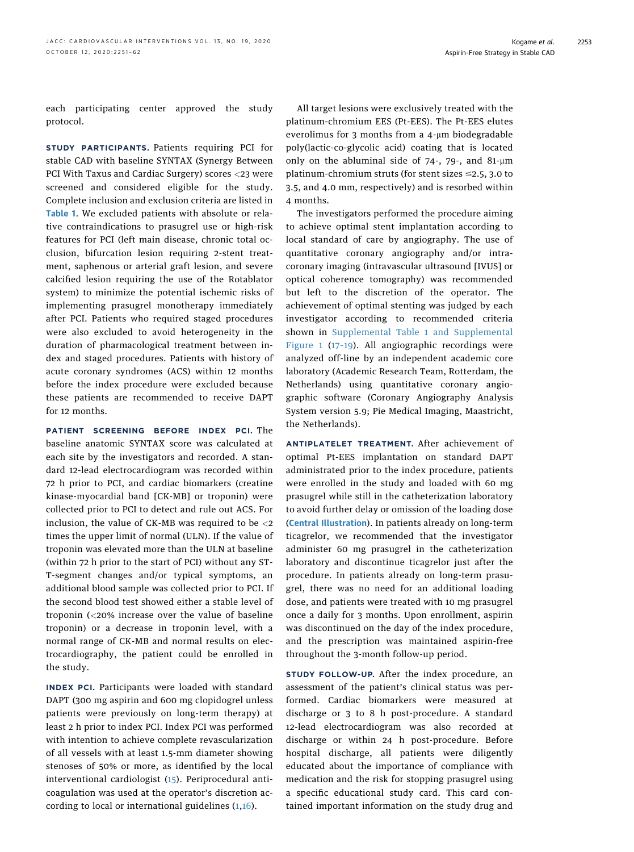each participating center approved the study protocol.

STUDY PARTICIPANTS. Patients requiring PCI for stable CAD with baseline SYNTAX (Synergy Between PCI With Taxus and Cardiac Surgery) scores <23 were screened and considered eligible for the study. Complete inclusion and exclusion criteria are listed in [Table 1](#page-3-0). We excluded patients with absolute or relative contraindications to prasugrel use or high-risk features for PCI (left main disease, chronic total occlusion, bifurcation lesion requiring 2-stent treatment, saphenous or arterial graft lesion, and severe calcified lesion requiring the use of the Rotablator system) to minimize the potential ischemic risks of implementing prasugrel monotherapy immediately after PCI. Patients who required staged procedures were also excluded to avoid heterogeneity in the duration of pharmacological treatment between index and staged procedures. Patients with history of acute coronary syndromes (ACS) within 12 months before the index procedure were excluded because these patients are recommended to receive DAPT for 12 months.

PATIENT SCREENING BEFORE INDEX PCI. The baseline anatomic SYNTAX score was calculated at each site by the investigators and recorded. A standard 12-lead electrocardiogram was recorded within 72 h prior to PCI, and cardiac biomarkers (creatine kinase-myocardial band [CK-MB] or troponin) were collected prior to PCI to detect and rule out ACS. For inclusion, the value of CK-MB was required to be <2 times the upper limit of normal (ULN). If the value of troponin was elevated more than the ULN at baseline (within 72 h prior to the start of PCI) without any ST-T-segment changes and/or typical symptoms, an additional blood sample was collected prior to PCI. If the second blood test showed either a stable level of troponin (<20% increase over the value of baseline troponin) or a decrease in troponin level, with a normal range of CK-MB and normal results on electrocardiography, the patient could be enrolled in the study.

INDEX PCI. Participants were loaded with standard DAPT (300 mg aspirin and 600 mg clopidogrel unless patients were previously on long-term therapy) at least 2 h prior to index PCI. Index PCI was performed with intention to achieve complete revascularization of all vessels with at least 1.5-mm diameter showing stenoses of 50% or more, as identified by the local interventional cardiologist ([15](#page-11-7)). Periprocedural anticoagulation was used at the operator's discretion according to local or international guidelines ([1,](#page-10-0)[16](#page-11-8)).

All target lesions were exclusively treated with the platinum-chromium EES (Pt-EES). The Pt-EES elutes everolimus for 3 months from a  $4-\mu m$  biodegradable poly(lactic-co-glycolic acid) coating that is located only on the abluminal side of  $74$ -,  $79$ -, and  $81$ - $\mu$ m platinum-chromium struts (for stent sizes  $\leq$ 2.5, 3.0 to 3.5, and 4.0 mm, respectively) and is resorbed within 4 months.

The investigators performed the procedure aiming to achieve optimal stent implantation according to local standard of care by angiography. The use of quantitative coronary angiography and/or intracoronary imaging (intravascular ultrasound [IVUS] or optical coherence tomography) was recommended but left to the discretion of the operator. The achievement of optimal stenting was judged by each investigator according to recommended criteria shown in [Supplemental Table 1](https://doi.org/10.1016/j.jcin.2020.06.023) and [Supplemental](https://doi.org/10.1016/j.jcin.2020.06.023) [Figure 1](https://doi.org/10.1016/j.jcin.2020.06.023) (17–[19](#page-11-9)). All angiographic recordings were analyzed off-line by an independent academic core laboratory (Academic Research Team, Rotterdam, the Netherlands) using quantitative coronary angiographic software (Coronary Angiography Analysis System version 5.9; Pie Medical Imaging, Maastricht, the Netherlands).

ANTIPLATELET TREATMENT. After achievement of optimal Pt-EES implantation on standard DAPT administrated prior to the index procedure, patients were enrolled in the study and loaded with 60 mg prasugrel while still in the catheterization laboratory to avoid further delay or omission of the loading dose ([Central Illustration](#page-4-0)). In patients already on long-term ticagrelor, we recommended that the investigator administer 60 mg prasugrel in the catheterization laboratory and discontinue ticagrelor just after the procedure. In patients already on long-term prasugrel, there was no need for an additional loading dose, and patients were treated with 10 mg prasugrel once a daily for 3 months. Upon enrollment, aspirin was discontinued on the day of the index procedure, and the prescription was maintained aspirin-free throughout the 3-month follow-up period.

STUDY FOLLOW-UP. After the index procedure, an assessment of the patient's clinical status was performed. Cardiac biomarkers were measured at discharge or 3 to 8 h post-procedure. A standard 12-lead electrocardiogram was also recorded at discharge or within 24 h post-procedure. Before hospital discharge, all patients were diligently educated about the importance of compliance with medication and the risk for stopping prasugrel using a specific educational study card. This card contained important information on the study drug and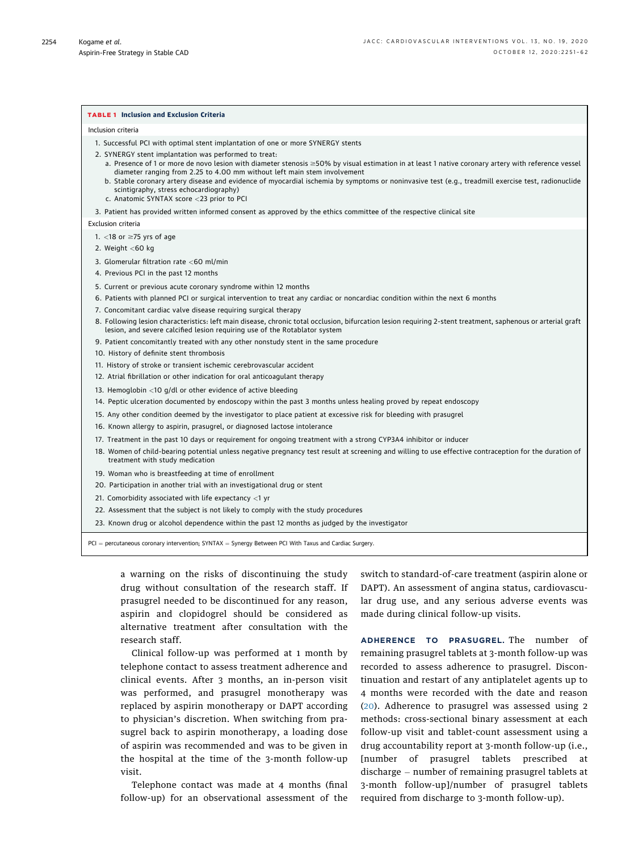#### <span id="page-3-0"></span>TABLE 1 Inclusion and Exclusion Criteria

#### Inclusion criteria

- 1. Successful PCI with optimal stent implantation of one or more SYNERGY stents
- 2. SYNERGY stent implantation was performed to treat:
	- a. Presence of 1 or more de novo lesion with diameter stenosis  $\geq$ 50% by visual estimation in at least 1 native coronary artery with reference vessel diameter ranging from 2.25 to 4.00 mm without left main stem involvement
	- b. Stable coronary artery disease and evidence of myocardial ischemia by symptoms or noninvasive test (e.g., treadmill exercise test, radionuclide scintigraphy, stress echocardiography)
	- c. Anatomic SYNTAX score <23 prior to PCI

3. Patient has provided written informed consent as approved by the ethics committee of the respective clinical site

#### Exclusion criteria

- 1.  $<$ 18 or  $\ge$ 75 yrs of age
- 2. Weight <60 kg
- 3. Glomerular filtration rate <60 ml/min
- 4. Previous PCI in the past 12 months
- 5. Current or previous acute coronary syndrome within 12 months
- 6. Patients with planned PCI or surgical intervention to treat any cardiac or noncardiac condition within the next 6 months
- 7. Concomitant cardiac valve disease requiring surgical therapy
- 8. Following lesion characteristics: left main disease, chronic total occlusion, bifurcation lesion requiring 2-stent treatment, saphenous or arterial graft lesion, and severe calcified lesion requiring use of the Rotablator system
- 9. Patient concomitantly treated with any other nonstudy stent in the same procedure
- 10. History of definite stent thrombosis
- 11. History of stroke or transient ischemic cerebrovascular accident
- 12. Atrial fibrillation or other indication for oral anticoagulant therapy
- 13. Hemoglobin <10 g/dl or other evidence of active bleeding
- 14. Peptic ulceration documented by endoscopy within the past 3 months unless healing proved by repeat endoscopy
- 15. Any other condition deemed by the investigator to place patient at excessive risk for bleeding with prasugrel
- 16. Known allergy to aspirin, prasugrel, or diagnosed lactose intolerance
- 17. Treatment in the past 10 days or requirement for ongoing treatment with a strong CYP3A4 inhibitor or inducer
- 18. Women of child-bearing potential unless negative pregnancy test result at screening and willing to use effective contraception for the duration of treatment with study medication
- 19. Woman who is breastfeeding at time of enrollment
- 20. Participation in another trial with an investigational drug or stent
- 21. Comorbidity associated with life expectancy <1 yr
- 22. Assessment that the subject is not likely to comply with the study procedures
- 23. Known drug or alcohol dependence within the past 12 months as judged by the investigator

 $PCI =$  percutaneous coronary intervention; SYNTAX = Synergy Between PCI With Taxus and Cardiac Surgery.

a warning on the risks of discontinuing the study drug without consultation of the research staff. If prasugrel needed to be discontinued for any reason, aspirin and clopidogrel should be considered as alternative treatment after consultation with the research staff.

Clinical follow-up was performed at 1 month by telephone contact to assess treatment adherence and clinical events. After 3 months, an in-person visit was performed, and prasugrel monotherapy was replaced by aspirin monotherapy or DAPT according to physician's discretion. When switching from prasugrel back to aspirin monotherapy, a loading dose of aspirin was recommended and was to be given in the hospital at the time of the 3-month follow-up visit.

Telephone contact was made at 4 months (final follow-up) for an observational assessment of the switch to standard-of-care treatment (aspirin alone or DAPT). An assessment of angina status, cardiovascular drug use, and any serious adverse events was made during clinical follow-up visits.

ADHERENCE TO PRASUGREL. The number of remaining prasugrel tablets at 3-month follow-up was recorded to assess adherence to prasugrel. Discontinuation and restart of any antiplatelet agents up to 4 months were recorded with the date and reason ([20](#page-11-10)). Adherence to prasugrel was assessed using 2 methods: cross-sectional binary assessment at each follow-up visit and tablet-count assessment using a drug accountability report at 3-month follow-up (i.e., [number of prasugrel tablets prescribed at  $discharge - number of remaining prasugrel tablets at$ 3-month follow-up]/number of prasugrel tablets required from discharge to 3-month follow-up).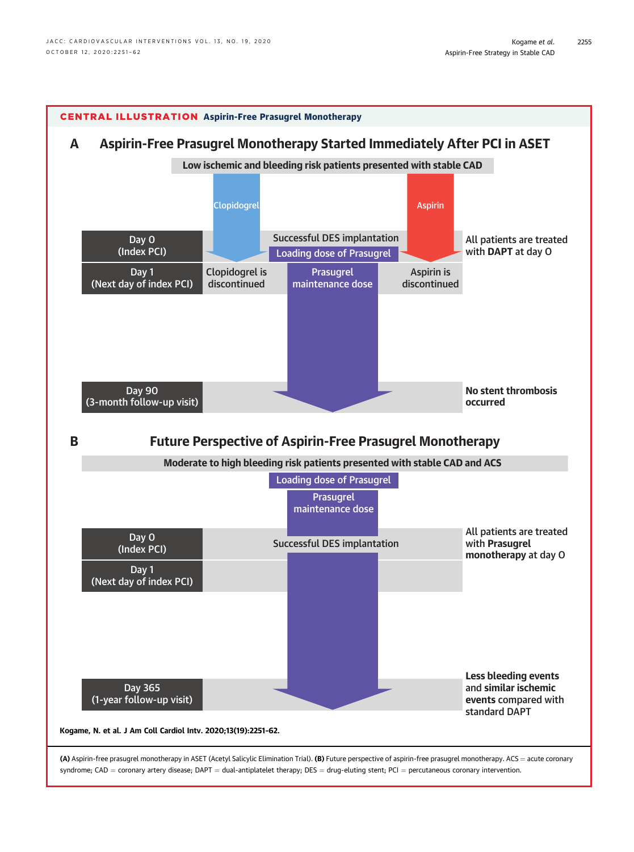<span id="page-4-0"></span>

(A) Aspirin-free prasugrel monotherapy in ASET (Acetyl Salicylic Elimination Trial). (B) Future perspective of aspirin-free prasugrel monotherapy. ACS = acute coronary syndrome; CAD = coronary artery disease; DAPT = dual-antiplatelet therapy; DES = drug-eluting stent; PCI = percutaneous coronary intervention.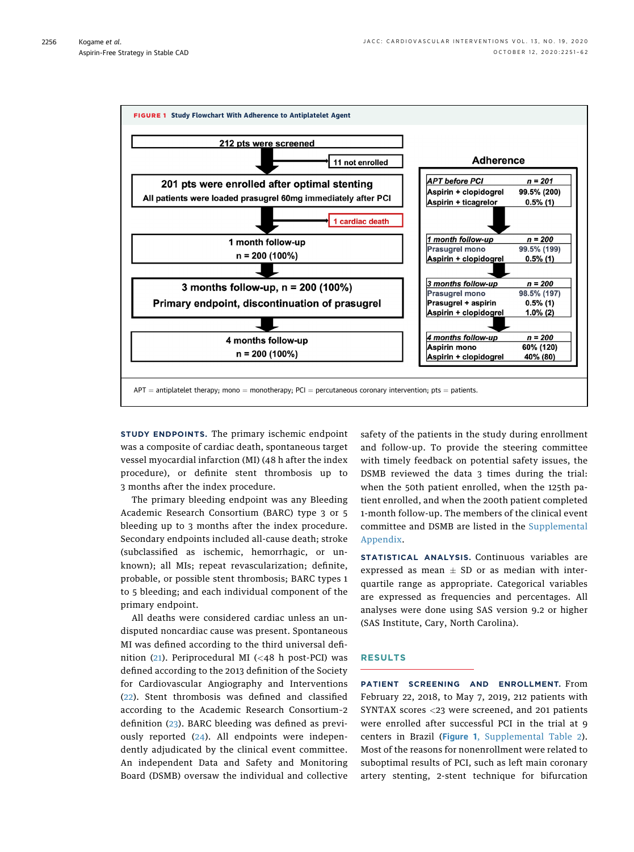<span id="page-5-0"></span>

STUDY ENDPOINTS. The primary ischemic endpoint was a composite of cardiac death, spontaneous target vessel myocardial infarction (MI) (48 h after the index procedure), or definite stent thrombosis up to 3 months after the index procedure.

The primary bleeding endpoint was any Bleeding Academic Research Consortium (BARC) type 3 or 5 bleeding up to 3 months after the index procedure. Secondary endpoints included all-cause death; stroke (subclassified as ischemic, hemorrhagic, or unknown); all MIs; repeat revascularization; definite, probable, or possible stent thrombosis; BARC types 1 to 5 bleeding; and each individual component of the primary endpoint.

All deaths were considered cardiac unless an undisputed noncardiac cause was present. Spontaneous MI was defined according to the third universal definition ([21](#page-11-11)). Periprocedural MI (<48 h post-PCI) was defined according to the 2013 definition of the Society for Cardiovascular Angiography and Interventions ([22](#page-11-12)). Stent thrombosis was defined and classified according to the Academic Research Consortium–2 definition ([23](#page-11-13)). BARC bleeding was defined as previously reported [\(24](#page-11-14)). All endpoints were independently adjudicated by the clinical event committee. An independent Data and Safety and Monitoring Board (DSMB) oversaw the individual and collective safety of the patients in the study during enrollment and follow-up. To provide the steering committee with timely feedback on potential safety issues, the DSMB reviewed the data 3 times during the trial: when the 50th patient enrolled, when the 125th patient enrolled, and when the 200th patient completed 1-month follow-up. The members of the clinical event committee and DSMB are listed in the [Supplemental](https://doi.org/10.1016/j.jcin.2020.06.023) [Appendix](https://doi.org/10.1016/j.jcin.2020.06.023).

STATISTICAL ANALYSIS. Continuous variables are expressed as mean  $\pm$  SD or as median with interquartile range as appropriate. Categorical variables are expressed as frequencies and percentages. All analyses were done using SAS version 9.2 or higher (SAS Institute, Cary, North Carolina).

## RESULTS

PATIENT SCREENING AND ENROLLMENT. From February 22, 2018, to May 7, 2019, 212 patients with SYNTAX scores <23 were screened, and 201 patients were enrolled after successful PCI in the trial at 9 centers in Brazil ([Figure 1](#page-5-0), [Supplemental Table 2\)](https://doi.org/10.1016/j.jcin.2020.06.023). Most of the reasons for nonenrollment were related to suboptimal results of PCI, such as left main coronary artery stenting, 2-stent technique for bifurcation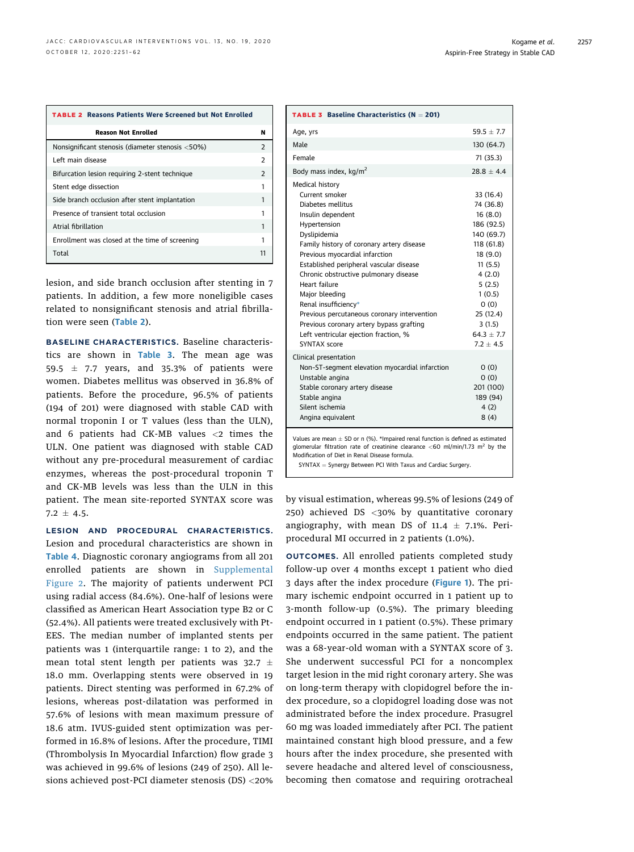<span id="page-6-0"></span>

| <b>TABLE 2 Reasons Patients Were Screened but Not Enrolled</b> |               |
|----------------------------------------------------------------|---------------|
| <b>Reason Not Enrolled</b>                                     | N             |
| Nonsignificant stenosis (diameter stenosis <50%)               | $\mathcal{P}$ |
| Left main disease                                              | $\mathcal{P}$ |
| Bifurcation lesion requiring 2-stent technique                 | $\mathcal{P}$ |
| Stent edge dissection                                          | 1             |
| Side branch occlusion after stent implantation                 | 1             |
| Presence of transient total occlusion                          |               |
| Atrial fibrillation                                            | 1             |
| Enrollment was closed at the time of screening                 | 1             |
| Total                                                          | 11            |

lesion, and side branch occlusion after stenting in 7 patients. In addition, a few more noneligible cases related to nonsignificant stenosis and atrial fibrillation were seen ([Table 2](#page-6-0)).

BASELINE CHARACTERISTICS. Baseline characteristics are shown in [Table 3](#page-6-1). The mean age was 59.5  $\pm$  7.7 years, and 35.3% of patients were women. Diabetes mellitus was observed in 36.8% of patients. Before the procedure, 96.5% of patients (194 of 201) were diagnosed with stable CAD with normal troponin I or T values (less than the ULN), and 6 patients had CK-MB values <2 times the ULN. One patient was diagnosed with stable CAD without any pre-procedural measurement of cardiac enzymes, whereas the post-procedural troponin T and CK-MB levels was less than the ULN in this patient. The mean site-reported SYNTAX score was  $7.2 \pm 4.5$ .

LESION AND PROCEDURAL CHARACTERISTICS. Lesion and procedural characteristics are shown in [Table 4](#page-7-0). Diagnostic coronary angiograms from all 201 enrolled patients are shown in [Supplemental](https://doi.org/10.1016/j.jcin.2020.06.023) [Figure 2.](https://doi.org/10.1016/j.jcin.2020.06.023) The majority of patients underwent PCI using radial access (84.6%). One-half of lesions were classified as American Heart Association type B2 or C (52.4%). All patients were treated exclusively with Pt-EES. The median number of implanted stents per patients was 1 (interquartile range: 1 to 2), and the mean total stent length per patients was 32.7  $\pm$ 18.0 mm. Overlapping stents were observed in 19 patients. Direct stenting was performed in 67.2% of lesions, whereas post-dilatation was performed in 57.6% of lesions with mean maximum pressure of 18.6 atm. IVUS-guided stent optimization was performed in 16.8% of lesions. After the procedure, TIMI (Thrombolysis In Myocardial Infarction) flow grade 3 was achieved in 99.6% of lesions (249 of 250). All lesions achieved post-PCI diameter stenosis (DS) <20%

<span id="page-6-1"></span>

| $59.5 + 7.7$                                                                                                                                                                                   |
|------------------------------------------------------------------------------------------------------------------------------------------------------------------------------------------------|
|                                                                                                                                                                                                |
| 130 (64.7)                                                                                                                                                                                     |
| 71 (35.3)                                                                                                                                                                                      |
| $28.8 + 4.4$                                                                                                                                                                                   |
| 33 (16.4)<br>74 (36.8)<br>16(8.0)<br>186 (92.5)<br>140 (69.7)<br>118 (61.8)<br>18 (9.0)<br>11(5.5)<br>4(2.0)<br>5(2.5)<br>1(0.5)<br>(0)<br>25(12.4)<br>3(1.5)<br>$64.3 \pm 7.7$<br>$7.2 + 4.5$ |
| 0(0)<br>0(0)<br>201 (100)<br>189 (94)<br>4(2)<br>8(4)                                                                                                                                          |
|                                                                                                                                                                                                |

<span id="page-6-2"></span>Values are mean  $\pm$  SD or n (%). \*Impaired renal function is defined as estimated glomerular filtration rate of creatinine clearance  $<$  60 ml/min/1.73 m<sup>2</sup> by the Modification of Diet in Renal Disease formula.

 $SYNTAX = Synergy$  Between PCI With Taxus and Cardiac Surgery.

by visual estimation, whereas 99.5% of lesions (249 of 250) achieved DS <30% by quantitative coronary angiography, with mean DS of 11.4  $\pm$  7.1%. Periprocedural MI occurred in 2 patients (1.0%).

OUTCOMES. All enrolled patients completed study follow-up over 4 months except 1 patient who died 3 days after the index procedure ([Figure 1](#page-5-0)). The primary ischemic endpoint occurred in 1 patient up to 3-month follow-up (0.5%). The primary bleeding endpoint occurred in 1 patient (0.5%). These primary endpoints occurred in the same patient. The patient was a 68-year-old woman with a SYNTAX score of 3. She underwent successful PCI for a noncomplex target lesion in the mid right coronary artery. She was on long-term therapy with clopidogrel before the index procedure, so a clopidogrel loading dose was not administrated before the index procedure. Prasugrel 60 mg was loaded immediately after PCI. The patient maintained constant high blood pressure, and a few hours after the index procedure, she presented with severe headache and altered level of consciousness, becoming then comatose and requiring orotracheal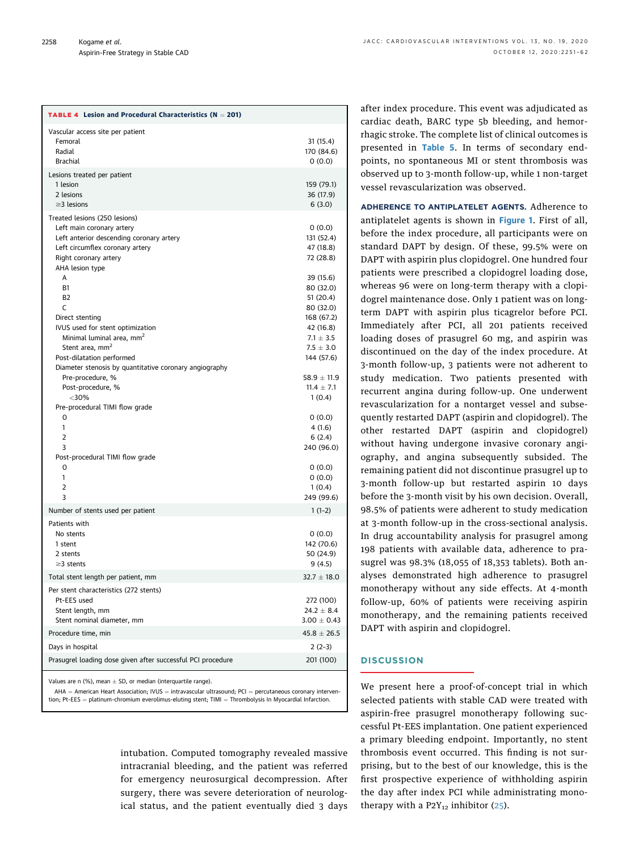<span id="page-7-0"></span>

| Vascular access site per patient<br>Femoral<br>31(15.4)<br>Radial<br>170 (84.6)<br><b>Brachial</b><br>0(0.0)<br>Lesions treated per patient<br>159 (79.1)<br>1 lesion<br>2 lesions<br>36 (17.9)<br>$\geq$ 3 lesions<br>6(3.0)<br>Treated lesions (250 lesions)<br>Left main coronary artery<br>0(0.0)<br>Left anterior descending coronary artery<br>131 (52.4)<br>Left circumflex coronary artery<br>47 (18.8)<br>Right coronary artery<br>72 (28.8)<br>AHA lesion type<br>A<br>39 (15.6)<br><b>B1</b><br>80 (32.0)<br>B <sub>2</sub><br>51 (20.4)<br>С<br>80 (32.0)<br>168 (67.2)<br>Direct stenting<br>IVUS used for stent optimization<br>42 (16.8)<br>Minimal luminal area, mm <sup>2</sup><br>$7.1 \pm 3.5$<br>Stent area, mm <sup>2</sup><br>$7.5 \pm 3.0$<br>Post-dilatation performed<br>144 (57.6)<br>Diameter stenosis by quantitative coronary angiography<br>$58.9 \pm 11.9$<br>Pre-procedure, %<br>Post-procedure, %<br>$11.4 \pm 7.1$<br>$<$ 30%<br>1(0.4)<br>Pre-procedural TIMI flow grade<br>0(0.0)<br>0<br>1<br>4(1.6)<br>$\overline{2}$<br>6(2.4)<br>240 (96.0)<br>3<br>Post-procedural TIMI flow grade<br>0(0.0)<br>0<br>1<br>0(0.0)<br>2<br>1(0.4)<br>3<br>249 (99.6)<br>Number of stents used per patient<br>$1(1-2)$<br>Patients with<br>No stents<br>0(0.0)<br>1 stent<br>142 (70.6)<br>2 stents<br>50 (24.9)<br>$\geq$ 3 stents<br>9(4.5)<br>Total stent length per patient, mm<br>$32.7 \pm 18.0$<br>Per stent characteristics (272 stents)<br>Pt-EES used<br>272 (100)<br>$24.2 \pm 8.4$<br>Stent length, mm<br>Stent nominal diameter, mm<br>$3.00 \pm 0.43$<br>$45.8 \pm 26.5$<br>Procedure time, min<br>Days in hospital<br>$2(2-3)$<br>Prasugrel loading dose given after successful PCI procedure<br>201 (100) | <b>TABLE 4</b> Lesion and Procedural Characteristics ( $N = 201$ ) |  |
|-------------------------------------------------------------------------------------------------------------------------------------------------------------------------------------------------------------------------------------------------------------------------------------------------------------------------------------------------------------------------------------------------------------------------------------------------------------------------------------------------------------------------------------------------------------------------------------------------------------------------------------------------------------------------------------------------------------------------------------------------------------------------------------------------------------------------------------------------------------------------------------------------------------------------------------------------------------------------------------------------------------------------------------------------------------------------------------------------------------------------------------------------------------------------------------------------------------------------------------------------------------------------------------------------------------------------------------------------------------------------------------------------------------------------------------------------------------------------------------------------------------------------------------------------------------------------------------------------------------------------------------------------------------------------------------------------------------------------------------------------|--------------------------------------------------------------------|--|
|                                                                                                                                                                                                                                                                                                                                                                                                                                                                                                                                                                                                                                                                                                                                                                                                                                                                                                                                                                                                                                                                                                                                                                                                                                                                                                                                                                                                                                                                                                                                                                                                                                                                                                                                                 |                                                                    |  |
|                                                                                                                                                                                                                                                                                                                                                                                                                                                                                                                                                                                                                                                                                                                                                                                                                                                                                                                                                                                                                                                                                                                                                                                                                                                                                                                                                                                                                                                                                                                                                                                                                                                                                                                                                 |                                                                    |  |
|                                                                                                                                                                                                                                                                                                                                                                                                                                                                                                                                                                                                                                                                                                                                                                                                                                                                                                                                                                                                                                                                                                                                                                                                                                                                                                                                                                                                                                                                                                                                                                                                                                                                                                                                                 |                                                                    |  |
|                                                                                                                                                                                                                                                                                                                                                                                                                                                                                                                                                                                                                                                                                                                                                                                                                                                                                                                                                                                                                                                                                                                                                                                                                                                                                                                                                                                                                                                                                                                                                                                                                                                                                                                                                 |                                                                    |  |
|                                                                                                                                                                                                                                                                                                                                                                                                                                                                                                                                                                                                                                                                                                                                                                                                                                                                                                                                                                                                                                                                                                                                                                                                                                                                                                                                                                                                                                                                                                                                                                                                                                                                                                                                                 |                                                                    |  |
|                                                                                                                                                                                                                                                                                                                                                                                                                                                                                                                                                                                                                                                                                                                                                                                                                                                                                                                                                                                                                                                                                                                                                                                                                                                                                                                                                                                                                                                                                                                                                                                                                                                                                                                                                 |                                                                    |  |
|                                                                                                                                                                                                                                                                                                                                                                                                                                                                                                                                                                                                                                                                                                                                                                                                                                                                                                                                                                                                                                                                                                                                                                                                                                                                                                                                                                                                                                                                                                                                                                                                                                                                                                                                                 |                                                                    |  |
|                                                                                                                                                                                                                                                                                                                                                                                                                                                                                                                                                                                                                                                                                                                                                                                                                                                                                                                                                                                                                                                                                                                                                                                                                                                                                                                                                                                                                                                                                                                                                                                                                                                                                                                                                 |                                                                    |  |
|                                                                                                                                                                                                                                                                                                                                                                                                                                                                                                                                                                                                                                                                                                                                                                                                                                                                                                                                                                                                                                                                                                                                                                                                                                                                                                                                                                                                                                                                                                                                                                                                                                                                                                                                                 |                                                                    |  |
|                                                                                                                                                                                                                                                                                                                                                                                                                                                                                                                                                                                                                                                                                                                                                                                                                                                                                                                                                                                                                                                                                                                                                                                                                                                                                                                                                                                                                                                                                                                                                                                                                                                                                                                                                 |                                                                    |  |

Values are n (%), mean  $\pm$  SD, or median (interquartile range).

 $AHA =$  American Heart Association: IVUS = intravascular ultrasound: PCI = percutaneous coronary intervention; Pt-EES = platinum-chromium everolimus-eluting stent; TIMI = Thrombolysis In Myocardial Infarction.

> intubation. Computed tomography revealed massive intracranial bleeding, and the patient was referred for emergency neurosurgical decompression. After surgery, there was severe deterioration of neurological status, and the patient eventually died 3 days

after index procedure. This event was adjudicated as cardiac death, BARC type 5b bleeding, and hemorrhagic stroke. The complete list of clinical outcomes is presented in [Table 5](#page-8-0). In terms of secondary endpoints, no spontaneous MI or stent thrombosis was observed up to 3-month follow-up, while 1 non-target vessel revascularization was observed.

ADHERENCE TO ANTIPLATELET AGENTS. Adherence to antiplatelet agents is shown in [Figure 1](#page-5-0). First of all, before the index procedure, all participants were on standard DAPT by design. Of these, 99.5% were on DAPT with aspirin plus clopidogrel. One hundred four patients were prescribed a clopidogrel loading dose, whereas 96 were on long-term therapy with a clopidogrel maintenance dose. Only 1 patient was on longterm DAPT with aspirin plus ticagrelor before PCI. Immediately after PCI, all 201 patients received loading doses of prasugrel 60 mg, and aspirin was discontinued on the day of the index procedure. At 3-month follow-up, 3 patients were not adherent to study medication. Two patients presented with recurrent angina during follow-up. One underwent revascularization for a nontarget vessel and subsequently restarted DAPT (aspirin and clopidogrel). The other restarted DAPT (aspirin and clopidogrel) without having undergone invasive coronary angiography, and angina subsequently subsided. The remaining patient did not discontinue prasugrel up to 3-month follow-up but restarted aspirin 10 days before the 3-month visit by his own decision. Overall, 98.5% of patients were adherent to study medication at 3-month follow-up in the cross-sectional analysis. In drug accountability analysis for prasugrel among 198 patients with available data, adherence to prasugrel was 98.3% (18,055 of 18,353 tablets). Both analyses demonstrated high adherence to prasugrel monotherapy without any side effects. At 4-month follow-up, 60% of patients were receiving aspirin monotherapy, and the remaining patients received DAPT with aspirin and clopidogrel.

## **DISCUSSION**

We present here a proof-of-concept trial in which selected patients with stable CAD were treated with aspirin-free prasugrel monotherapy following successful Pt-EES implantation. One patient experienced a primary bleeding endpoint. Importantly, no stent thrombosis event occurred. This finding is not surprising, but to the best of our knowledge, this is the first prospective experience of withholding aspirin the day after index PCI while administrating monotherapy with a  $P2Y_{12}$  inhibitor [\(25\)](#page-11-15).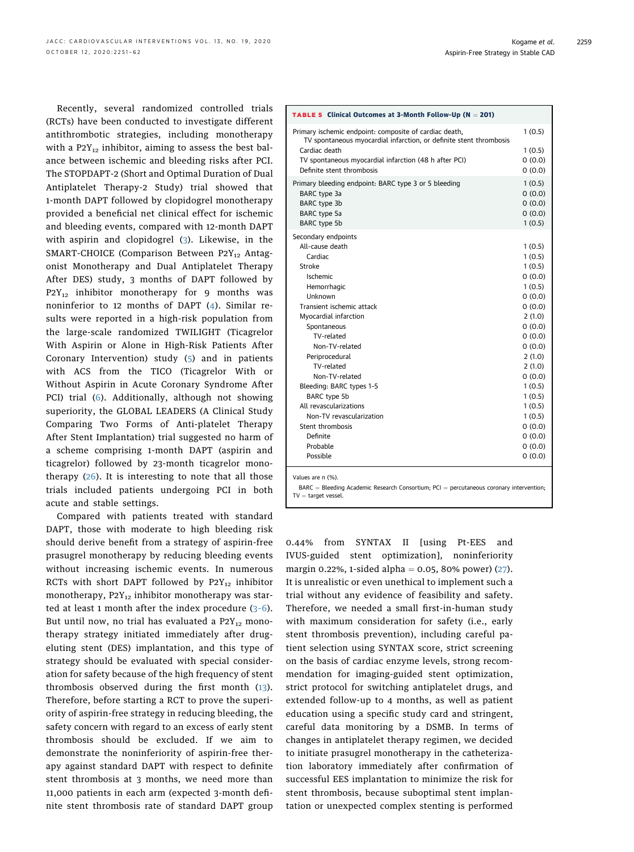Recently, several randomized controlled trials (RCTs) have been conducted to investigate different antithrombotic strategies, including monotherapy with a  $P_2Y_{12}$  inhibitor, aiming to assess the best balance between ischemic and bleeding risks after PCI. The STOPDAPT-2 (Short and Optimal Duration of Dual Antiplatelet Therapy-2 Study) trial showed that 1-month DAPT followed by clopidogrel monotherapy provided a beneficial net clinical effect for ischemic and bleeding events, compared with 12-month DAPT with aspirin and clopidogrel [\(3\)](#page-10-2). Likewise, in the SMART-CHOICE (Comparison Between P2Y<sub>12</sub> Antagonist Monotherapy and Dual Antiplatelet Therapy After DES) study, 3 months of DAPT followed by  $P2Y_{12}$  inhibitor monotherapy for 9 months was noninferior to 12 months of DAPT ([4\)](#page-10-4). Similar results were reported in a high-risk population from the large-scale randomized TWILIGHT (Ticagrelor With Aspirin or Alone in High-Risk Patients After Coronary Intervention) study ([5\)](#page-10-5) and in patients with ACS from the TICO (Ticagrelor With or Without Aspirin in Acute Coronary Syndrome After PCI) trial ([6\)](#page-10-6). Additionally, although not showing superiority, the GLOBAL LEADERS (A Clinical Study Comparing Two Forms of Anti-platelet Therapy After Stent Implantation) trial suggested no harm of a scheme comprising 1-month DAPT (aspirin and ticagrelor) followed by 23-month ticagrelor monotherapy  $(26)$  $(26)$ . It is interesting to note that all those trials included patients undergoing PCI in both acute and stable settings.

Compared with patients treated with standard DAPT, those with moderate to high bleeding risk should derive benefit from a strategy of aspirin-free prasugrel monotherapy by reducing bleeding events without increasing ischemic events. In numerous RCTs with short DAPT followed by  $P2Y_{12}$  inhibitor monotherapy,  $P2Y_{12}$  inhibitor monotherapy was started at least 1 month after the index procedure (3–[6\)](#page-10-2). But until now, no trial has evaluated a  $P2Y_{12}$  monotherapy strategy initiated immediately after drugeluting stent (DES) implantation, and this type of strategy should be evaluated with special consideration for safety because of the high frequency of stent thrombosis observed during the first month ([13\)](#page-11-5). Therefore, before starting a RCT to prove the superiority of aspirin-free strategy in reducing bleeding, the safety concern with regard to an excess of early stent thrombosis should be excluded. If we aim to demonstrate the noninferiority of aspirin-free therapy against standard DAPT with respect to definite stent thrombosis at 3 months, we need more than 11,000 patients in each arm (expected 3-month definite stent thrombosis rate of standard DAPT group

<span id="page-8-0"></span>

| <b>TABLE 5 Clinical Outcomes at 3-Month Follow-Up (<math>N = 201</math>)</b>                                                                        |                  |
|-----------------------------------------------------------------------------------------------------------------------------------------------------|------------------|
| Primary ischemic endpoint: composite of cardiac death,<br>TV spontaneous myocardial infarction, or definite stent thrombosis                        | 1(0.5)           |
| Cardiac death                                                                                                                                       | 1(0.5)           |
| TV spontaneous myocardial infarction (48 h after PCI)                                                                                               | 0(0.0)           |
| Definite stent thrombosis                                                                                                                           | 0(0.0)           |
| Primary bleeding endpoint: BARC type 3 or 5 bleeding                                                                                                | 1(0.5)           |
| BARC type 3a                                                                                                                                        | 0(0.0)           |
| BARC type 3b                                                                                                                                        | 0(0.0)           |
| BARC type 5a                                                                                                                                        | 0(0.0)           |
| BARC type 5b                                                                                                                                        | 1(0.5)           |
| Secondary endpoints                                                                                                                                 |                  |
| All-cause death                                                                                                                                     | 1(0.5)           |
| Cardiac                                                                                                                                             | 1(0.5)           |
| Stroke                                                                                                                                              | 1(0.5)           |
| Ischemic                                                                                                                                            | 0(0.0)           |
| Hemorrhagic<br>Unknown                                                                                                                              | 1(0.5)           |
| Transient ischemic attack                                                                                                                           | 0(0.0)           |
| Myocardial infarction                                                                                                                               | 0(0.0)<br>2(1.0) |
| Spontaneous                                                                                                                                         | 0(0.0)           |
| TV-related                                                                                                                                          | 0(0.0)           |
| Non-TV-related                                                                                                                                      | 0(0.0)           |
| Periprocedural                                                                                                                                      | 2(1.0)           |
| TV-related                                                                                                                                          | 2(1.0)           |
| Non-TV-related                                                                                                                                      | 0(0.0)           |
| Bleeding: BARC types 1-5                                                                                                                            | 1(0.5)           |
| BARC type 5b                                                                                                                                        | 1(0.5)           |
| All revascularizations                                                                                                                              | 1(0.5)           |
| Non-TV revascularization                                                                                                                            | 1(0.5)           |
| Stent thrombosis                                                                                                                                    | 0(0.0)           |
| Definite                                                                                                                                            | 0(0.0)           |
| Probable                                                                                                                                            | 0(0.0)           |
| Possible                                                                                                                                            | 0(0.0)           |
| Values are n (%).<br>$\mathsf{BARC} = \mathsf{Bledina}$ Academic Research Consortium: $\mathsf{PCI} = \mathsf{percutaneous}$ coronary intervention: |                  |

 $\mathsf{BARC} = \mathsf{Bleading}$  Academic Research Consortium;  $\mathsf{PCI} = \mathsf{percut}$ aneous coronary intervention;  $TV =$  target vessel.

0.44% from SYNTAX II [using Pt-EES and IVUS-guided stent optimization], noninferiority margin 0.22%, 1-sided alpha =  $0.05$ , 80% power) ([27](#page-11-17)). It is unrealistic or even unethical to implement such a trial without any evidence of feasibility and safety. Therefore, we needed a small first-in-human study with maximum consideration for safety (i.e., early stent thrombosis prevention), including careful patient selection using SYNTAX score, strict screening on the basis of cardiac enzyme levels, strong recommendation for imaging-guided stent optimization, strict protocol for switching antiplatelet drugs, and extended follow-up to 4 months, as well as patient education using a specific study card and stringent, careful data monitoring by a DSMB. In terms of changes in antiplatelet therapy regimen, we decided to initiate prasugrel monotherapy in the catheterization laboratory immediately after confirmation of successful EES implantation to minimize the risk for stent thrombosis, because suboptimal stent implantation or unexpected complex stenting is performed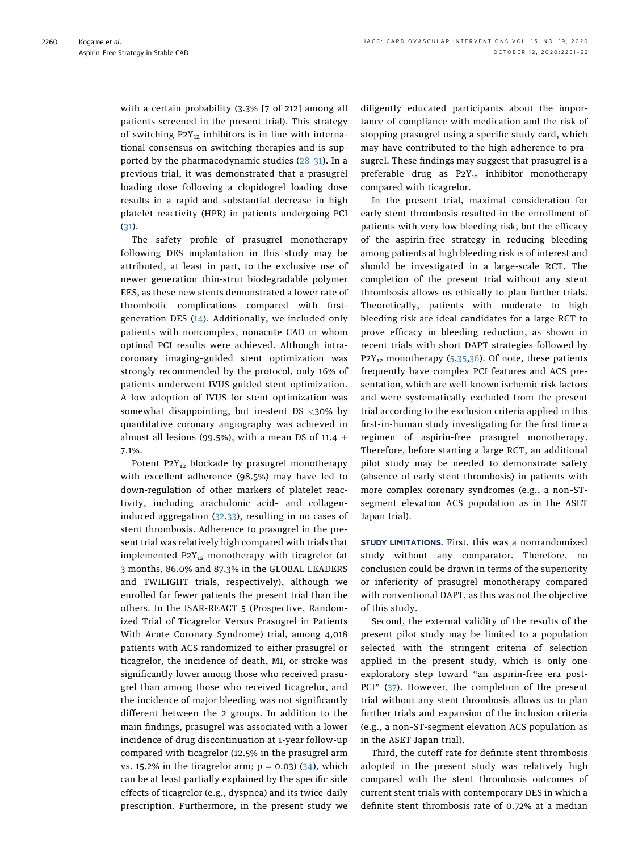with a certain probability (3.3% [7 of 212] among all patients screened in the present trial). This strategy of switching  $P2Y_{12}$  inhibitors is in line with international consensus on switching therapies and is supported by the pharmacodynamic studies [\(28](#page-11-18)–31). In a previous trial, it was demonstrated that a prasugrel loading dose following a clopidogrel loading dose results in a rapid and substantial decrease in high platelet reactivity (HPR) in patients undergoing PCI ([31](#page-11-19)).

The safety profile of prasugrel monotherapy following DES implantation in this study may be attributed, at least in part, to the exclusive use of newer generation thin-strut biodegradable polymer EES, as these new stents demonstrated a lower rate of thrombotic complications compared with firstgeneration DES [\(14\)](#page-11-6). Additionally, we included only patients with noncomplex, nonacute CAD in whom optimal PCI results were achieved. Although intracoronary imaging–guided stent optimization was strongly recommended by the protocol, only 16% of patients underwent IVUS-guided stent optimization. A low adoption of IVUS for stent optimization was somewhat disappointing, but in-stent DS <30% by quantitative coronary angiography was achieved in almost all lesions (99.5%), with a mean DS of 11.4  $\pm$ 7.1%.

Potent  $P2Y_{12}$  blockade by prasugrel monotherapy with excellent adherence (98.5%) may have led to down-regulation of other markers of platelet reactivity, including arachidonic acid– and collageninduced aggregation ([32](#page-11-20),[33](#page-11-21)), resulting in no cases of stent thrombosis. Adherence to prasugrel in the present trial was relatively high compared with trials that implemented  $P2Y_{12}$  monotherapy with ticagrelor (at 3 months, 86.0% and 87.3% in the GLOBAL LEADERS and TWILIGHT trials, respectively), although we enrolled far fewer patients the present trial than the others. In the ISAR-REACT 5 (Prospective, Randomized Trial of Ticagrelor Versus Prasugrel in Patients With Acute Coronary Syndrome) trial, among 4,018 patients with ACS randomized to either prasugrel or ticagrelor, the incidence of death, MI, or stroke was significantly lower among those who received prasugrel than among those who received ticagrelor, and the incidence of major bleeding was not significantly different between the 2 groups. In addition to the main findings, prasugrel was associated with a lower incidence of drug discontinuation at 1-year follow-up compared with ticagrelor (12.5% in the prasugrel arm vs. 15.2% in the ticagrelor arm;  $p = 0.03$  [\(34\)](#page-11-22), which can be at least partially explained by the specific side effects of ticagrelor (e.g., dyspnea) and its twice-daily prescription. Furthermore, in the present study we diligently educated participants about the importance of compliance with medication and the risk of stopping prasugrel using a specific study card, which may have contributed to the high adherence to prasugrel. These findings may suggest that prasugrel is a preferable drug as  $P2Y_{12}$  inhibitor monotherapy compared with ticagrelor.

In the present trial, maximal consideration for early stent thrombosis resulted in the enrollment of patients with very low bleeding risk, but the efficacy of the aspirin-free strategy in reducing bleeding among patients at high bleeding risk is of interest and should be investigated in a large-scale RCT. The completion of the present trial without any stent thrombosis allows us ethically to plan further trials. Theoretically, patients with moderate to high bleeding risk are ideal candidates for a large RCT to prove efficacy in bleeding reduction, as shown in recent trials with short DAPT strategies followed by  $P2Y_{12}$  monotherapy ([5](#page-10-5),[35](#page-11-23),[36\)](#page-11-24). Of note, these patients frequently have complex PCI features and ACS presentation, which are well-known ischemic risk factors and were systematically excluded from the present trial according to the exclusion criteria applied in this first-in-human study investigating for the first time a regimen of aspirin-free prasugrel monotherapy. Therefore, before starting a large RCT, an additional pilot study may be needed to demonstrate safety (absence of early stent thrombosis) in patients with more complex coronary syndromes (e.g., a non–STsegment elevation ACS population as in the ASET Japan trial).

STUDY LIMITATIONS. First, this was a nonrandomized study without any comparator. Therefore, no conclusion could be drawn in terms of the superiority or inferiority of prasugrel monotherapy compared with conventional DAPT, as this was not the objective of this study.

Second, the external validity of the results of the present pilot study may be limited to a population selected with the stringent criteria of selection applied in the present study, which is only one exploratory step toward "an aspirin-free era post-PCI" [\(37\)](#page-11-25). However, the completion of the present trial without any stent thrombosis allows us to plan further trials and expansion of the inclusion criteria (e.g., a non–ST-segment elevation ACS population as in the ASET Japan trial).

Third, the cutoff rate for definite stent thrombosis adopted in the present study was relatively high compared with the stent thrombosis outcomes of current stent trials with contemporary DES in which a definite stent thrombosis rate of 0.72% at a median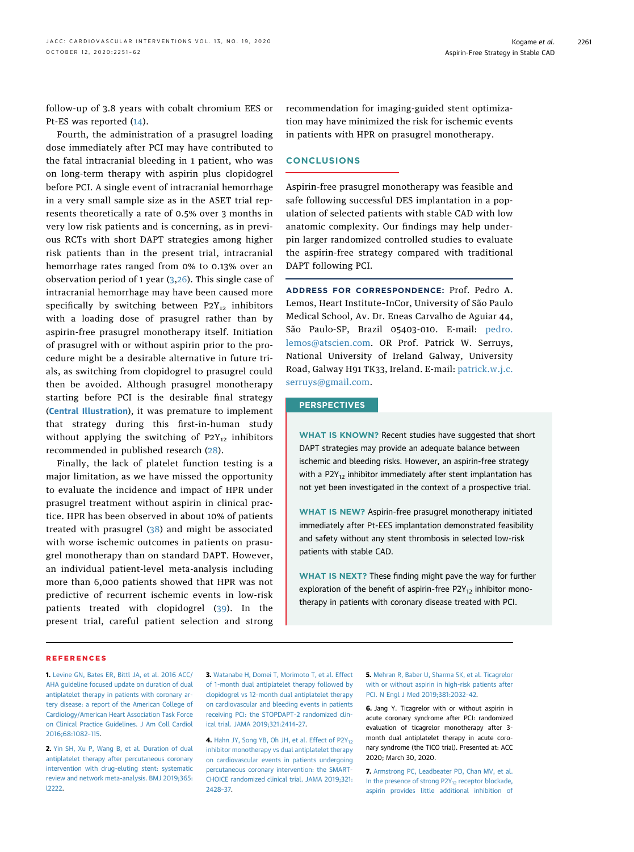follow-up of 3.8 years with cobalt chromium EES or Pt-ES was reported [\(14\)](#page-11-6).

Fourth, the administration of a prasugrel loading dose immediately after PCI may have contributed to the fatal intracranial bleeding in 1 patient, who was on long-term therapy with aspirin plus clopidogrel before PCI. A single event of intracranial hemorrhage in a very small sample size as in the ASET trial represents theoretically a rate of 0.5% over 3 months in very low risk patients and is concerning, as in previous RCTs with short DAPT strategies among higher risk patients than in the present trial, intracranial hemorrhage rates ranged from 0% to 0.13% over an observation period of 1 year  $(3,26)$  $(3,26)$  $(3,26)$ . This single case of intracranial hemorrhage may have been caused more specifically by switching between  $P2Y_{12}$  inhibitors with a loading dose of prasugrel rather than by aspirin-free prasugrel monotherapy itself. Initiation of prasugrel with or without aspirin prior to the procedure might be a desirable alternative in future trials, as switching from clopidogrel to prasugrel could then be avoided. Although prasugrel monotherapy starting before PCI is the desirable final strategy ([Central Illustration](#page-4-0)), it was premature to implement that strategy during this first-in-human study without applying the switching of  $P2Y_{12}$  inhibitors recommended in published research ([28](#page-11-18)).

Finally, the lack of platelet function testing is a major limitation, as we have missed the opportunity to evaluate the incidence and impact of HPR under prasugrel treatment without aspirin in clinical practice. HPR has been observed in about 10% of patients treated with prasugrel [\(38](#page-11-26)) and might be associated with worse ischemic outcomes in patients on prasugrel monotherapy than on standard DAPT. However, an individual patient-level meta-analysis including more than 6,000 patients showed that HPR was not predictive of recurrent ischemic events in low-risk patients treated with clopidogrel ([39](#page-11-27)). In the present trial, careful patient selection and strong recommendation for imaging-guided stent optimization may have minimized the risk for ischemic events in patients with HPR on prasugrel monotherapy.

## CONCLUSIONS

Aspirin-free prasugrel monotherapy was feasible and safe following successful DES implantation in a population of selected patients with stable CAD with low anatomic complexity. Our findings may help underpin larger randomized controlled studies to evaluate the aspirin-free strategy compared with traditional DAPT following PCI.

ADDRESS FOR CORRESPONDENCE: Prof. Pedro A. Lemos, Heart Institute–InCor, University of São Paulo Medical School, Av. Dr. Eneas Carvalho de Aguiar 44, São Paulo-SP, Brazil 05403-010. E-mail: [pedro.](mailto:pedro.lemos@atscien.com) [lemos@atscien.com.](mailto:pedro.lemos@atscien.com) OR Prof. Patrick W. Serruys, National University of Ireland Galway, University Road, Galway H91 TK33, Ireland. E-mail: [patrick.w.j.c.](mailto:patrick.w.j.c.serruys@gmail.com) [serruys@gmail.com](mailto:patrick.w.j.c.serruys@gmail.com).

## **PERSPECTIVES**

WHAT IS KNOWN? Recent studies have suggested that short DAPT strategies may provide an adequate balance between ischemic and bleeding risks. However, an aspirin-free strategy with a  $P2Y_{12}$  inhibitor immediately after stent implantation has not yet been investigated in the context of a prospective trial.

WHAT IS NEW? Aspirin-free prasugrel monotherapy initiated immediately after Pt-EES implantation demonstrated feasibility and safety without any stent thrombosis in selected low-risk patients with stable CAD.

WHAT IS NEXT? These finding might pave the way for further exploration of the benefit of aspirin-free  $P2Y_{12}$  inhibitor monotherapy in patients with coronary disease treated with PCI.

#### REFERENCES

<span id="page-10-0"></span>1. [Levine GN, Bates ER, Bittl JA, et al. 2016 ACC/](http://refhub.elsevier.com/S1936-8798(20)31369-8/sref1) [AHA guideline focused update on duration of dual](http://refhub.elsevier.com/S1936-8798(20)31369-8/sref1) [antiplatelet therapy in patients with coronary ar](http://refhub.elsevier.com/S1936-8798(20)31369-8/sref1)[tery disease: a report of the American College of](http://refhub.elsevier.com/S1936-8798(20)31369-8/sref1) [Cardiology/American Heart Association Task Force](http://refhub.elsevier.com/S1936-8798(20)31369-8/sref1) [on Clinical Practice Guidelines. J Am Coll Cardiol](http://refhub.elsevier.com/S1936-8798(20)31369-8/sref1) [2016;68:1082](http://refhub.elsevier.com/S1936-8798(20)31369-8/sref1)–115.

<span id="page-10-1"></span>2. [Yin SH, Xu P, Wang B, et al. Duration of dual](http://refhub.elsevier.com/S1936-8798(20)31369-8/sref2) [antiplatelet therapy after percutaneous coronary](http://refhub.elsevier.com/S1936-8798(20)31369-8/sref2) [intervention with drug-eluting stent: systematic](http://refhub.elsevier.com/S1936-8798(20)31369-8/sref2) [review and network meta-analysis. BMJ 2019;365:](http://refhub.elsevier.com/S1936-8798(20)31369-8/sref2) [l2222.](http://refhub.elsevier.com/S1936-8798(20)31369-8/sref2)

<span id="page-10-2"></span>3. [Watanabe H, Domei T, Morimoto T, et al. Effect](http://refhub.elsevier.com/S1936-8798(20)31369-8/sref3) [of 1-month dual antiplatelet therapy followed by](http://refhub.elsevier.com/S1936-8798(20)31369-8/sref3) [clopidogrel vs 12-month dual antiplatelet therapy](http://refhub.elsevier.com/S1936-8798(20)31369-8/sref3) [on cardiovascular and bleeding events in patients](http://refhub.elsevier.com/S1936-8798(20)31369-8/sref3) [receiving PCI: the STOPDAPT-2 randomized clin](http://refhub.elsevier.com/S1936-8798(20)31369-8/sref3)[ical trial. JAMA 2019;321:2414](http://refhub.elsevier.com/S1936-8798(20)31369-8/sref3)–27.

<span id="page-10-4"></span>4. Hahn JY, Song YB, Oh JH, et al. Effect of P2Y<sub>12</sub> [inhibitor monotherapy vs dual antiplatelet therapy](http://refhub.elsevier.com/S1936-8798(20)31369-8/sref4) [on cardiovascular events in patients undergoing](http://refhub.elsevier.com/S1936-8798(20)31369-8/sref4) [percutaneous coronary intervention: the SMART-](http://refhub.elsevier.com/S1936-8798(20)31369-8/sref4)[CHOICE randomized clinical trial. JAMA 2019;321:](http://refhub.elsevier.com/S1936-8798(20)31369-8/sref4) [2428](http://refhub.elsevier.com/S1936-8798(20)31369-8/sref4)–37.

<span id="page-10-5"></span>5. [Mehran R, Baber U, Sharma SK, et al. Ticagrelor](http://refhub.elsevier.com/S1936-8798(20)31369-8/sref5) [with or without aspirin in high-risk patients after](http://refhub.elsevier.com/S1936-8798(20)31369-8/sref5) [PCI. N Engl J Med 2019;381:2032](http://refhub.elsevier.com/S1936-8798(20)31369-8/sref5)–42.

<span id="page-10-6"></span>6. Jang Y. Ticagrelor with or without aspirin in acute coronary syndrome after PCI: randomized evaluation of ticagrelor monotherapy after 3 month dual antiplatelet therapy in acute coronary syndrome (the TICO trial). Presented at: ACC 2020; March 30, 2020.

<span id="page-10-3"></span>7. [Armstrong PC, Leadbeater PD, Chan MV, et al.](http://refhub.elsevier.com/S1936-8798(20)31369-8/sref7) In the presence of strong P2Y<sub>12</sub> [receptor blockade,](http://refhub.elsevier.com/S1936-8798(20)31369-8/sref7) [aspirin provides little additional inhibition of](http://refhub.elsevier.com/S1936-8798(20)31369-8/sref7)